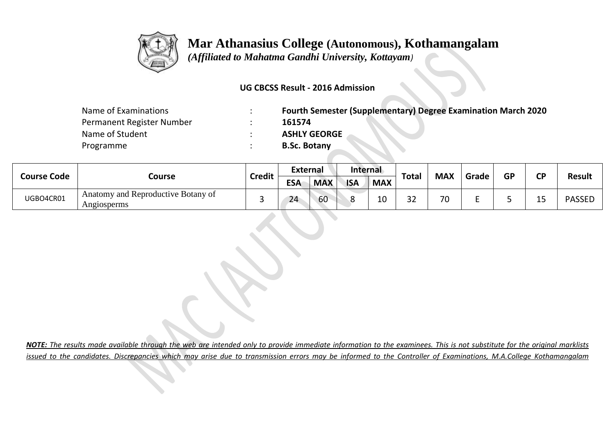

## **Mar Athanasius College (Autonomous), Kothamangalam**

 *(Affiliated to Mahatma Gandhi University, Kottayam)*

## **UG CBCSS Result - 2016 Admission**

| Name of Examinations      | <b>Fourth Semester (Supplementary) Degree Examination March 2020</b> |
|---------------------------|----------------------------------------------------------------------|
| Permanent Register Number | 161574                                                               |
| Name of Student           | <b>ASHLY GEORGE</b>                                                  |
| Programme                 | <b>B.Sc. Botany</b>                                                  |

| <b>Course Code</b> | Course                                            | <b>Credit</b> | <b>External</b> |            | Internal   |            |              |            |       |    | ΓD |               |
|--------------------|---------------------------------------------------|---------------|-----------------|------------|------------|------------|--------------|------------|-------|----|----|---------------|
|                    |                                                   |               | <b>ESA</b>      | <b>MAX</b> | <b>ISA</b> | <b>MAX</b> | <b>Total</b> | <b>MAX</b> | Grade | GP |    | <b>Result</b> |
| UGBO4CR01          | Anatomy and Reproductive Botany of<br>Angiosperms |               | 24              | 60         |            | 10         | າ າ<br>ے د   | 70         |       |    | -- | <b>PASSEL</b> |

*NOTE: The results made available through the web are intended only to provide immediate information to the examinees. This is not substitute for the original marklists issued to the candidates. Discrepancies which may arise due to transmission errors may be informed to the Controller of Examinations, M.A.College Kothamangalam*